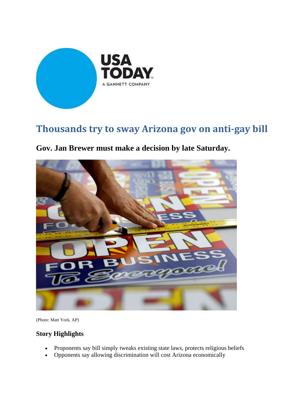

## **Thousands try to sway Arizona gov on antigay bill**

**Gov. Jan Brewer must make a decision by late Saturday.** 



(Photo: Matt York, AP)

## **Story Highlights**

- Proponents say bill simply tweaks existing state laws, protects religious beliefs
- Opponents say allowing discrimination will cost Arizona economically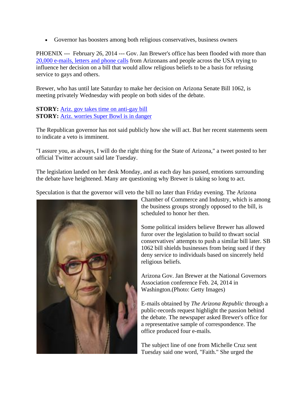Governor has boosters among both religious conservatives, business owners

PHOENIX --- February 26, 2014 --- Gov. Jan Brewer's office has been flooded with more than 20,000 e-mails, letters and phone calls from Arizonans and people across the USA trying to influence her decision on a bill that would allow religious beliefs to be a basis for refusing service to gays and others.

Brewer, who has until late Saturday to make her decision on Arizona Senate Bill 1062, is meeting privately Wednesday with people on both sides of the debate.

**STORY:** Ariz. gov takes time on anti-gay bill **STORY:** Ariz. worries Super Bowl is in danger

The Republican governor has not said publicly how she will act. But her recent statements seem to indicate a veto is imminent.

"I assure you, as always, I will do the right thing for the State of Arizona," a tweet posted to her official Twitter account said late Tuesday.

The legislation landed on her desk Monday, and as each day has passed, emotions surrounding the debate have heightened. Many are questioning why Brewer is taking so long to act.

Speculation is that the governor will veto the bill no later than Friday evening. The Arizona



Chamber of Commerce and Industry, which is among the business groups strongly opposed to the bill, is scheduled to honor her then.

Some political insiders believe Brewer has allowed furor over the legislation to build to thwart social conservatives' attempts to push a similar bill later. SB 1062 bill shields businesses from being sued if they deny service to individuals based on sincerely held religious beliefs.

Arizona Gov. Jan Brewer at the National Governors Association conference Feb. 24, 2014 in Washington.(Photo: Getty Images)

E-mails obtained by *The Arizona Republic* through a public-records request highlight the passion behind the debate. The newspaper asked Brewer's office for a representative sample of correspondence. The office produced four e-mails.

The subject line of one from Michelle Cruz sent Tuesday said one word, "Faith." She urged the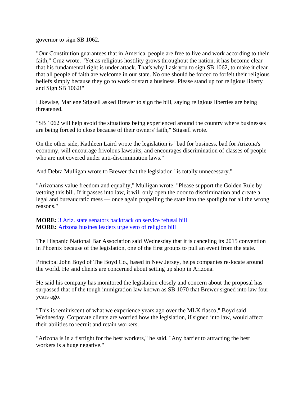governor to sign SB 1062.

"Our Constitution guarantees that in America, people are free to live and work according to their faith," Cruz wrote. "Yet as religious hostility grows throughout the nation, it has become clear that his fundamental right is under attack. That's why I ask you to sign SB 1062, to make it clear that all people of faith are welcome in our state. No one should be forced to forfeit their religious beliefs simply because they go to work or start a business. Please stand up for religious liberty and Sign SB 1062!"

Likewise, Marlene Stigsell asked Brewer to sign the bill, saying religious liberties are being threatened.

"SB 1062 will help avoid the situations being experienced around the country where businesses are being forced to close because of their owners' faith," Stigsell wrote.

On the other side, Kathleen Laird wrote the legislation is "bad for business, bad for Arizona's economy, will encourage frivolous lawsuits, and encourages discrimination of classes of people who are not covered under anti-discrimination laws."

And Debra Mulligan wrote to Brewer that the legislation "is totally unnecessary."

"Arizonans value freedom and equality," Mulligan wrote. "Please support the Golden Rule by vetoing this bill. If it passes into law, it will only open the door to discrimination and create a legal and bureaucratic mess — once again propelling the state into the spotlight for all the wrong reasons."

**MORE:** 3 Ariz. state senators backtrack on service refusal bill **MORE:** Arizona busines leaders urge veto of religion bill

The Hispanic National Bar Association said Wednesday that it is canceling its 2015 convention in Phoenix because of the legislation, one of the first groups to pull an event from the state.

Principal John Boyd of The Boyd Co., based in New Jersey, helps companies re-locate around the world. He said clients are concerned about setting up shop in Arizona.

He said his company has monitored the legislation closely and concern about the proposal has surpassed that of the tough immigration law known as SB 1070 that Brewer signed into law four years ago.

"This is reminiscent of what we experience years ago over the MLK fiasco," Boyd said Wednesday. Corporate clients are worried how the legislation, if signed into law, would affect their abilities to recruit and retain workers.

"Arizona is in a fistfight for the best workers," he said. "Any barrier to attracting the best workers is a huge negative."